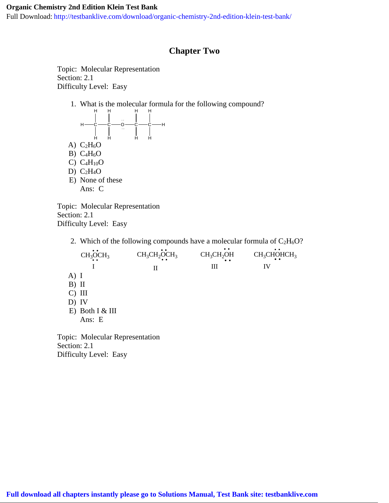Full Download: http://testbanklive.com/download/organic-chemistry-2nd-edition-klein-test-bank/

## **Chapter Two**

Topic: Molecular Representation Section: 2.1 Difficulty Level: Easy



Topic: Molecular Representation Section: 2.1 Difficulty Level: Easy

2. Which of the following compounds have a molecular formula of  $C_2H_6O$ ?

|          | CH <sub>3</sub> OCH <sub>3</sub> | $CH3CH2OCH3$ | CH <sub>3</sub> CH <sub>2</sub> OH | CH <sub>3</sub> CHOHCH <sub>3</sub> |
|----------|----------------------------------|--------------|------------------------------------|-------------------------------------|
|          |                                  | П            | Ш                                  | IV                                  |
| A) I     |                                  |              |                                    |                                     |
| $B)$ II  |                                  |              |                                    |                                     |
| $C)$ III |                                  |              |                                    |                                     |
| $D)$ IV  |                                  |              |                                    |                                     |
|          | E) Both $I & III$                |              |                                    |                                     |
|          | Ans: E                           |              |                                    |                                     |
|          |                                  |              |                                    |                                     |
|          | nic: Molecular Representation    |              |                                    |                                     |

Topic: Molecular Representation Section: 2.1 Difficulty Level: Easy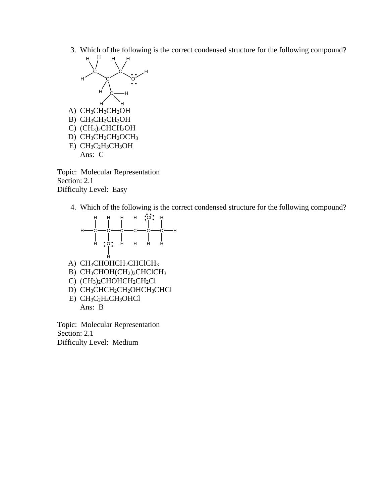3. Which of the following is the correct condensed structure for the following compound?



Topic: Molecular Representation Section: 2.1 Difficulty Level: Easy

4. Which of the following is the correct condensed structure for the following compound?



Topic: Molecular Representation Section: 2.1 Difficulty Level: Medium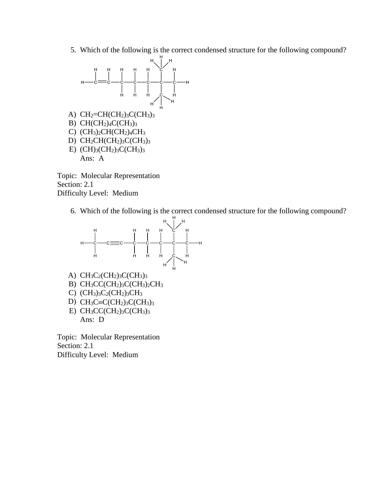5. Which of the following is the correct condensed structure for the following compound?



Topic: Molecular Representation Section: 2.1 Difficulty Level: Medium

6. Which of the following is the correct condensed structure for the following compound?



Topic: Molecular Representation Section: 2.1 Difficulty Level: Medium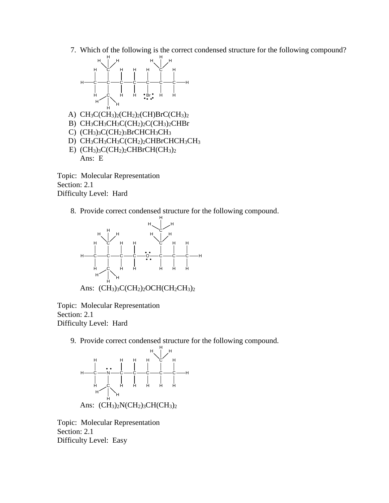7. Which of the following is the correct condensed structure for the following compound?



Topic: Molecular Representation Section: 2.1 Difficulty Level: Hard

8. Provide correct condensed structure for the following compound.



Topic: Molecular Representation Section: 2.1

Difficulty Level: Hard

9. Provide correct condensed structure for the following compound.



Topic: Molecular Representation Section: 2.1 Difficulty Level: Easy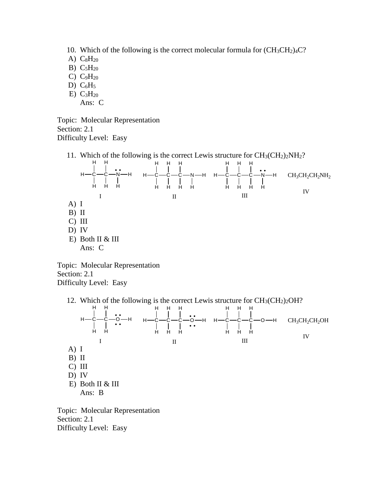- 10. Which of the following is the correct molecular formula for  $(CH_3CH_2)_4C$ ?
- A)  $C_8H_{20}$
- B)  $C_5H_{20}$
- C)  $C_9H_{20}$
- D)  $C_6H_5$
- $E) C<sub>3</sub>H<sub>20</sub>$ Ans: C
- Topic: Molecular Representation Section: 2.1 Difficulty Level: Easy
	- 11. Which of the following is the correct Lewis structure for  $CH_3(CH_2)_2NH_2$ ?



Topic: Molecular Representation Section: 2.1 Difficulty Level: Easy

12. Which of the following is the correct Lewis structure for  $CH<sub>3</sub>(CH<sub>2</sub>)<sub>2</sub>OH?$ 



Topic: Molecular Representation Section: 2.1 Difficulty Level: Easy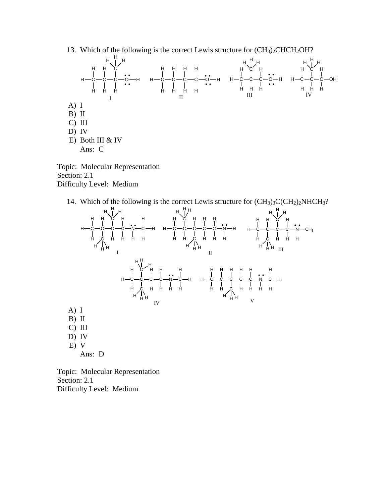13. Which of the following is the correct Lewis structure for  $(CH<sub>3</sub>)<sub>2</sub>CHCH<sub>2</sub>OH$ ?



Topic: Molecular Representation Section: 2.1 Difficulty Level: Medium

14. Which of the following is the correct Lewis structure for  $(CH<sub>3</sub>)<sub>3</sub>C(CH<sub>2</sub>)<sub>2</sub>NHCH<sub>3</sub>?$ 



Topic: Molecular Representation Section: 2.1 Difficulty Level: Medium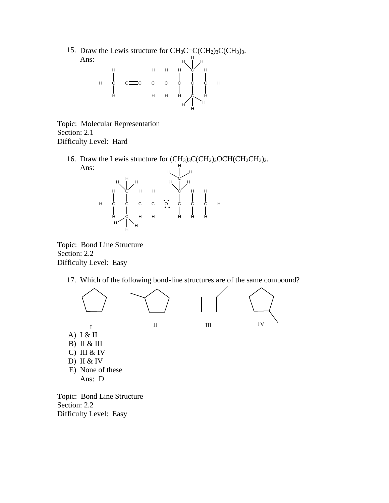15. Draw the Lewis structure for  $CH_3C \equiv C(CH_2)_3C(CH_3)_3$ . Ans: H



Topic: Molecular Representation Section: 2.1 Difficulty Level: Hard

16. Draw the Lewis structure for  $(CH_3)_3C(CH_2)_2OCH(CH_2CH_3)_2$ . Ans:



Topic: Bond Line Structure Section: 2.2 Difficulty Level: Easy

17. Which of the following bond-line structures are of the same compound?



Ans: D

Topic: Bond Line Structure Section: 2.2 Difficulty Level: Easy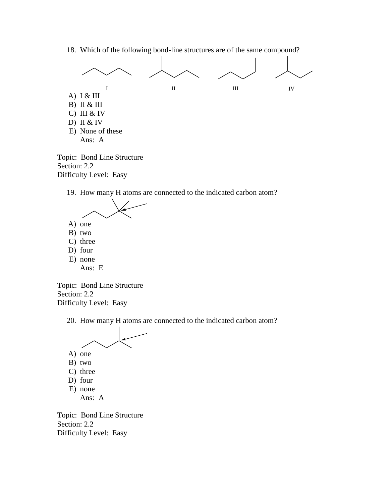18. Which of the following bond-line structures are of the same compound?



Section: 2.2 Difficulty Level: Easy

19. How many H atoms are connected to the indicated carbon atom?



- C) three
- D) four
- E) none
	- Ans: E

Topic: Bond Line Structure Section: 2.2 Difficulty Level: Easy

20. How many H atoms are connected to the indicated carbon atom?



- B) two
- C) three
- D) four
- E) none
	- Ans: A

Topic: Bond Line Structure Section: 2.2 Difficulty Level: Easy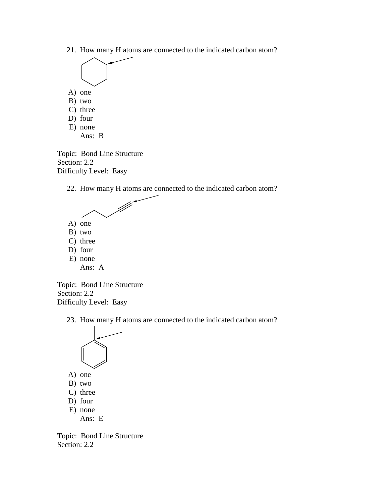21. How many H atoms are connected to the indicated carbon atom?



- D) four
- E) none
	- Ans: B

Topic: Bond Line Structure Section: 2.2 Difficulty Level: Easy

22. How many H atoms are connected to the indicated carbon atom?



Topic: Bond Line Structure Section: 2.2 Difficulty Level: Easy

23. How many H atoms are connected to the indicated carbon atom?



- A) one
- B) two
- C) three
- D) four
- E) none Ans: E

Topic: Bond Line Structure Section: 2.2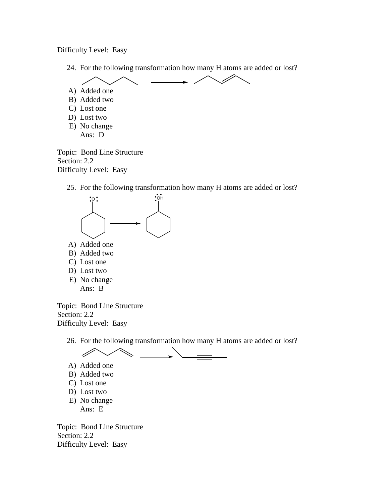Difficulty Level: Easy

24. For the following transformation how many H atoms are added or lost?



Topic: Bond Line Structure Section: 2.2 Difficulty Level: Easy

25. For the following transformation how many H atoms are added or lost?



- B) Added two
- C) Lost one
- D) Lost two
- E) No change Ans: B

Topic: Bond Line Structure Section: 2.2 Difficulty Level: Easy

26. For the following transformation how many H atoms are added or lost?



- A) Added one
- B) Added two
- C) Lost one
- D) Lost two
- E) No change Ans: E

Topic: Bond Line Structure Section: 2.2 Difficulty Level: Easy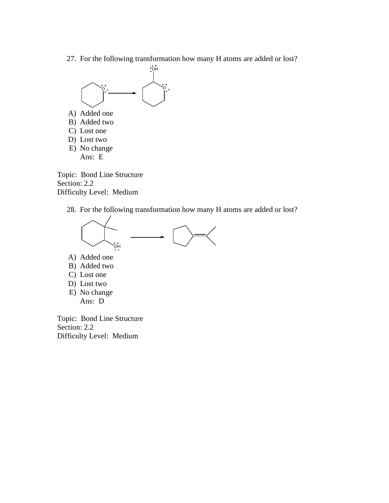27. For the following transformation how many H atoms are added or lost?



- A) Added one
- B) Added two
- C) Lost one
- D) Lost two
- E) No change Ans: E

Topic: Bond Line Structure Section: 2.2 Difficulty Level: Medium

28. For the following transformation how many H atoms are added or lost?



- A) Added one
- B) Added two
- C) Lost one
- D) Lost two
- E) No change Ans: D

Topic: Bond Line Structure Section: 2.2 Difficulty Level: Medium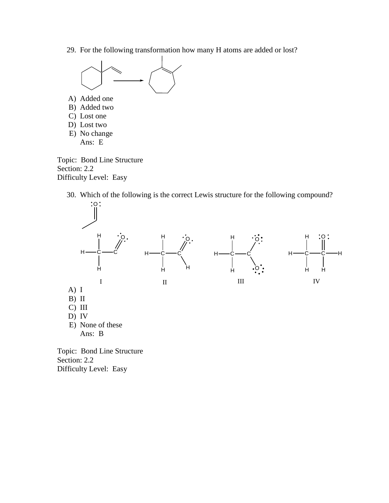29. For the following transformation how many H atoms are added or lost?



Topic: Bond Line Structure Section: 2.2 Difficulty Level: Easy

30. Which of the following is the correct Lewis structure for the following compound?



Section: 2.2 Difficulty Level: Easy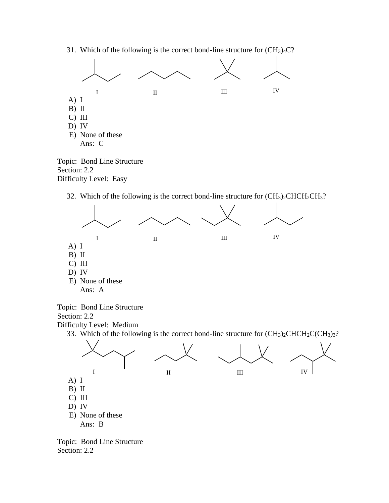31. Which of the following is the correct bond-line structure for  $(CH_3)_4C$ ?



Topic: Bond Line Structure Section: 2.2 Difficulty Level: Easy

32. Which of the following is the correct bond-line structure for  $(CH_3)_2CHCH_2CH_3$ ?



Topic: Bond Line Structure Section: 2.2

Difficulty Level: Medium

33. Which of the following is the correct bond-line structure for  $(CH_3)_2CHCH_2C(CH_3)_3$ ?



Topic: Bond Line Structure Section: 2.2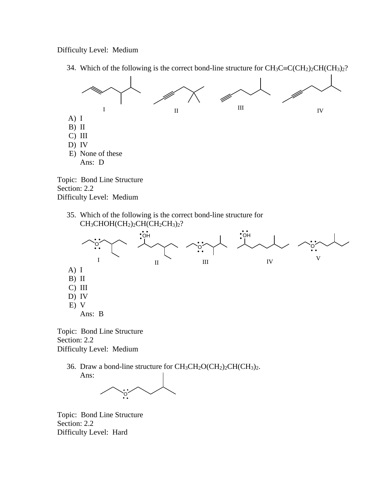## Difficulty Level: Medium



34. Which of the following is the correct bond-line structure for  $CH_3C\equiv C(CH_2)_2CH(CH_3)_2$ ?





Topic: Bond Line Structure Section: 2.2 Difficulty Level: Medium

> 36. Draw a bond-line structure for  $CH_3CH_2O(CH_2)_2CH(CH_3)_2$ . Ans:



Topic: Bond Line Structure Section: 2.2 Difficulty Level: Hard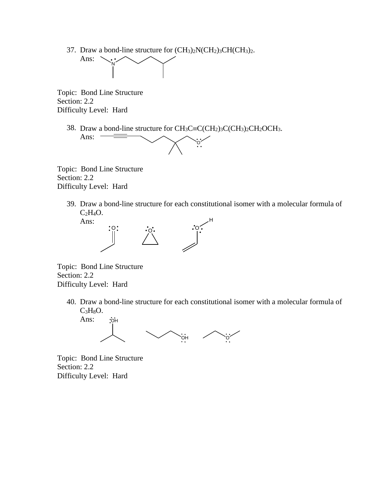37. Draw a bond-line structure for (CH3)2N(CH2)3CH(CH3)2.



Topic: Bond Line Structure Section: 2.2 Difficulty Level: Hard

38. Draw a bond-line structure for  $CH_3C \equiv C(CH_2)_3C(CH_3)_2CH_2OCH_3$ . Ans:



Topic: Bond Line Structure Section: 2.2 Difficulty Level: Hard

> 39. Draw a bond-line structure for each constitutional isomer with a molecular formula of  $C_2H_4O.$



Topic: Bond Line Structure Section: 2.2 Difficulty Level: Hard

> 40. Draw a bond-line structure for each constitutional isomer with a molecular formula of  $C<sub>3</sub>H<sub>8</sub>O.$



Topic: Bond Line Structure Section: 2.2 Difficulty Level: Hard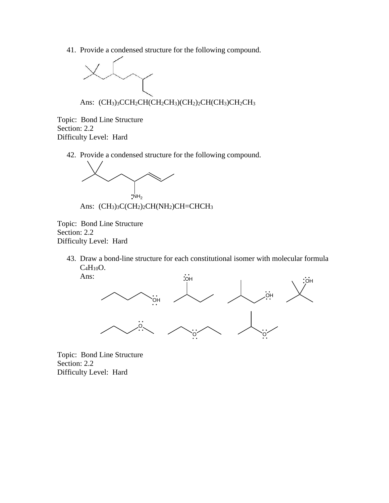41. Provide a condensed structure for the following compound.



Ans:  $(CH<sub>3</sub>)<sub>3</sub>CCH<sub>2</sub>CH(CH<sub>2</sub>CH<sub>3</sub>)(CH<sub>2</sub>)<sub>2</sub>CH(CH<sub>3</sub>)CH<sub>2</sub>CH<sub>3</sub>$ 

Topic: Bond Line Structure Section: 2.2 Difficulty Level: Hard

42. Provide a condensed structure for the following compound.



Ans:  $(CH<sub>3</sub>)<sub>3</sub>C(CH<sub>2</sub>)<sub>2</sub>CH(NH<sub>2</sub>)CH=CHCH<sub>3</sub>$ 

Topic: Bond Line Structure Section: 2.2 Difficulty Level: Hard

> 43. Draw a bond-line structure for each constitutional isomer with molecular formula  $C_4H_{10}O.$ Ans:



Topic: Bond Line Structure Section: 2.2 Difficulty Level: Hard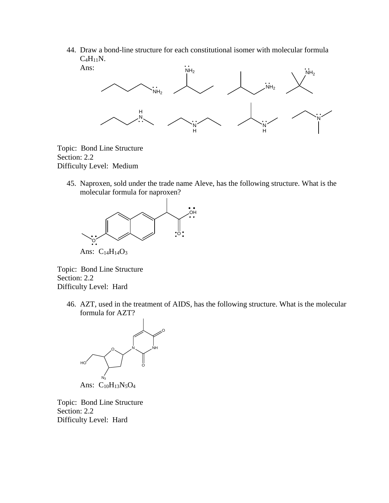44. Draw a bond-line structure for each constitutional isomer with molecular formula  $C_4H_{11}N$ .



Topic: Bond Line Structure Section: 2.2 Difficulty Level: Medium

> 45. Naproxen, sold under the trade name Aleve, has the following structure. What is the molecular formula for naproxen?



Ans: C<sub>14</sub>H<sub>14</sub>O<sub>3</sub>

Topic: Bond Line Structure Section: 2.2 Difficulty Level: Hard

> 46. AZT, used in the treatment of AIDS, has the following structure. What is the molecular formula for AZT?



Topic: Bond Line Structure Section: 2.2 Difficulty Level: Hard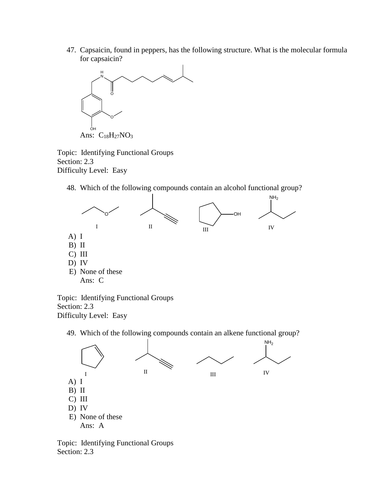47. Capsaicin, found in peppers, has the following structure. What is the molecular formula for capsaicin?



Topic: Identifying Functional Groups Section: 2.3 Difficulty Level: Easy

48. Which of the following compounds contain an alcohol functional group?



Topic: Identifying Functional Groups Section: 2.3 Difficulty Level: Easy

49. Which of the following compounds contain an alkene functional group?



Topic: Identifying Functional Groups Section: 2.3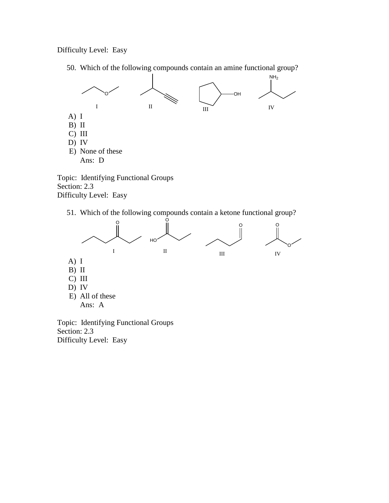Difficulty Level: Easy

50. Which of the following compounds contain an amine functional group?



Topic: Identifying Functional Groups Section: 2.3 Difficulty Level: Easy

51. Which of the following compounds contain a ketone functional group?



Topic: Identifying Functional Groups Section: 2.3 Difficulty Level: Easy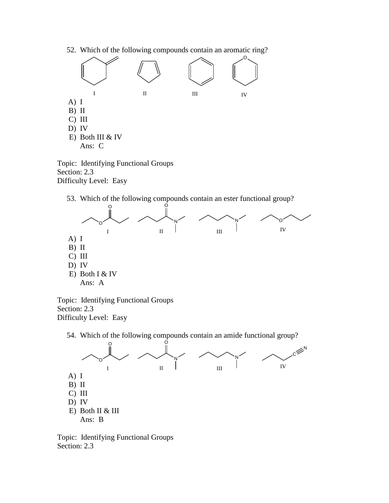52. Which of the following compounds contain an aromatic ring?



Topic: Identifying Functional Groups Section: 2.3 Difficulty Level: Easy

53. Which of the following compounds contain an ester functional group?



Topic: Identifying Functional Groups Section: 2.3 Difficulty Level: Easy



Topic: Identifying Functional Groups Section: 2.3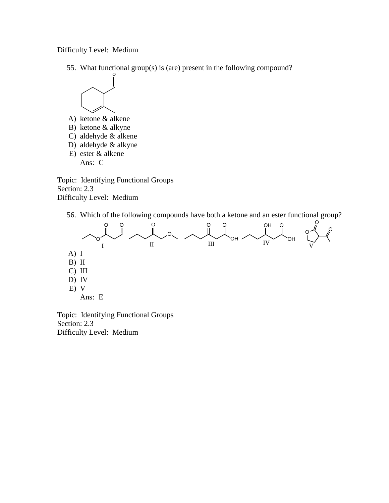Difficulty Level: Medium

55. What functional group(s) is (are) present in the following compound?



- A) ketone & alkene
- B) ketone & alkyne
- C) aldehyde & alkene
- D) aldehyde & alkyne
- E) ester & alkene Ans: C

Topic: Identifying Functional Groups Section: 2.3 Difficulty Level: Medium

56. Which of the following compounds have both a ketone and an ester functional group?



Topic: Identifying Functional Groups Section: 2.3 Difficulty Level: Medium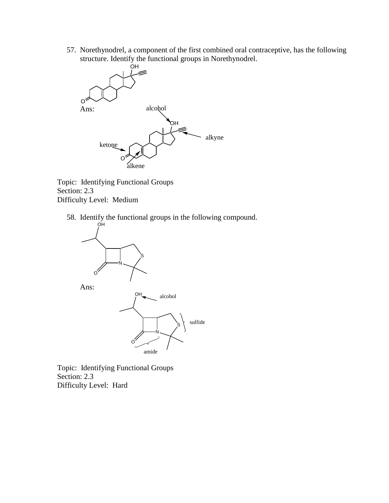57. Norethynodrel, a component of the first combined oral contraceptive, has the following structure. Identify the functional groups in Norethynodrel.



Topic: Identifying Functional Groups Section: 2.3 Difficulty Level: Medium

58. Identify the functional groups in the following compound.



Topic: Identifying Functional Groups Section: 2.3 Difficulty Level: Hard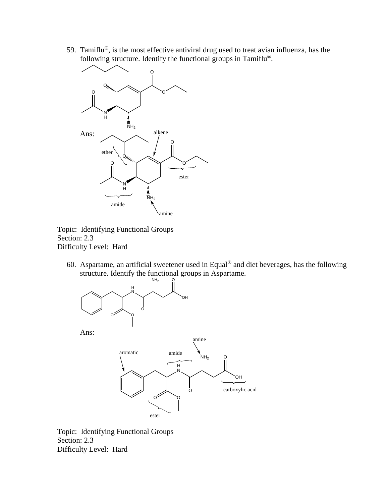59. Tamiflu®, is the most effective antiviral drug used to treat avian influenza, has the following structure. Identify the functional groups in Tamiflu®.



Topic: Identifying Functional Groups Section: 2.3 Difficulty Level: Hard

60. Aspartame, an artificial sweetener used in Equal® and diet beverages, has the following structure. Identify the functional groups in Aspartame.



Topic: Identifying Functional Groups Section: 2.3 Difficulty Level: Hard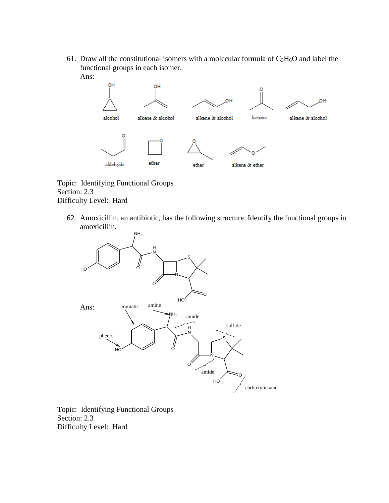61. Draw all the constitutional isomers with a molecular formula of  $C_3H_6O$  and label the functional groups in each isomer. Ans:



Topic: Identifying Functional Groups Section: 2.3 Difficulty Level: Hard

62. Amoxicillin, an antibiotic, has the following structure. Identify the functional groups in amoxicillin.



Topic: Identifying Functional Groups Section: 2.3 Difficulty Level: Hard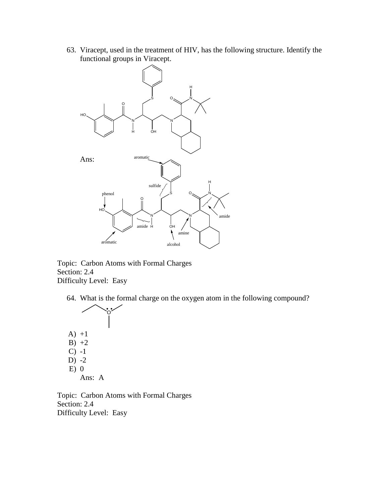63. Viracept, used in the treatment of HIV, has the following structure. Identify the functional groups in Viracept.



Topic: Carbon Atoms with Formal Charges Section: 2.4 Difficulty Level: Easy

64. What is the formal charge on the oxygen atom in the following compound?



Topic: Carbon Atoms with Formal Charges Section: 2.4 Difficulty Level: Easy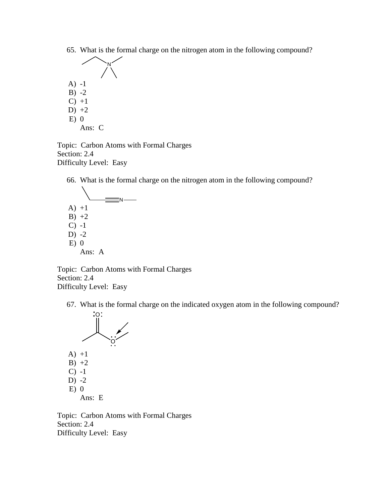65. What is the formal charge on the nitrogen atom in the following compound?



Ans: C

Topic: Carbon Atoms with Formal Charges Section: 2.4 Difficulty Level: Easy

66. What is the formal charge on the nitrogen atom in the following compound?

 $\equiv$ N- $A) +1$  $B) +2$  $C) -1$ D)  $-2$  $E$ ) 0

Ans: A

Topic: Carbon Atoms with Formal Charges Section: 2.4 Difficulty Level: Easy

67. What is the formal charge on the indicated oxygen atom in the following compound?



Topic: Carbon Atoms with Formal Charges Section: 2.4 Difficulty Level: Easy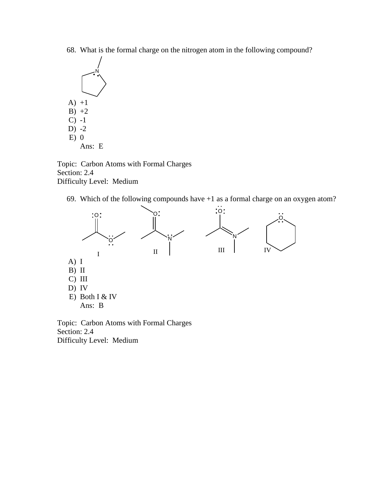68. What is the formal charge on the nitrogen atom in the following compound?



Topic: Carbon Atoms with Formal Charges Section: 2.4 Difficulty Level: Medium

69. Which of the following compounds have +1 as a formal charge on an oxygen atom?



Topic: Carbon Atoms with Formal Charges Section: 2.4 Difficulty Level: Medium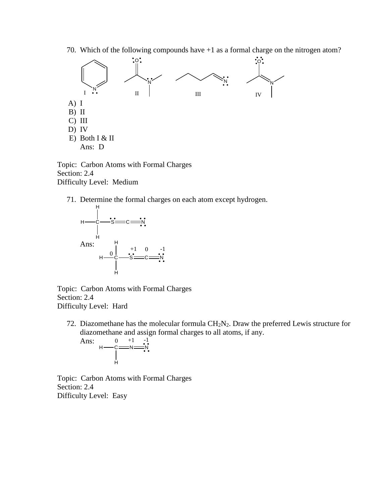70. Which of the following compounds have +1 as a formal charge on the nitrogen atom?



Topic: Carbon Atoms with Formal Charges Section: 2.4 Difficulty Level: Medium

71. Determine the formal charges on each atom except hydrogen.



Topic: Carbon Atoms with Formal Charges Section: 2.4 Difficulty Level: Hard

72. Diazomethane has the molecular formula  $CH<sub>2</sub>N<sub>2</sub>$ . Draw the preferred Lewis structure for diazomethane and assign formal charges to all atoms, if any.



Topic: Carbon Atoms with Formal Charges Section: 2.4 Difficulty Level: Easy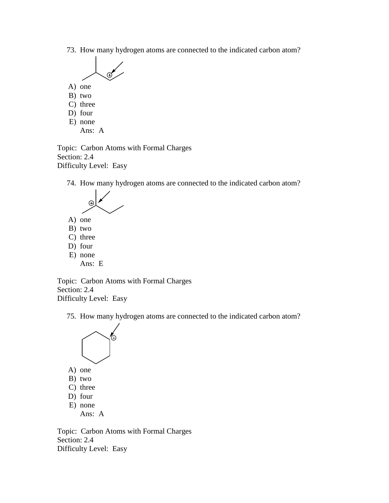73. How many hydrogen atoms are connected to the indicated carbon atom?



- A) one
- B) two
- C) three
- D) four
- E) none Ans: A

Topic: Carbon Atoms with Formal Charges Section: 2.4 Difficulty Level: Easy

74. How many hydrogen atoms are connected to the indicated carbon atom?



- B) two
- 
- C) three D) four
- E) none
	- Ans: E

Topic: Carbon Atoms with Formal Charges Section: 2.4 Difficulty Level: Easy

75. How many hydrogen atoms are connected to the indicated carbon atom?



- A) one
- B) two
- C) three
- D) four
- E) none

Ans: A

Topic: Carbon Atoms with Formal Charges Section: 2.4 Difficulty Level: Easy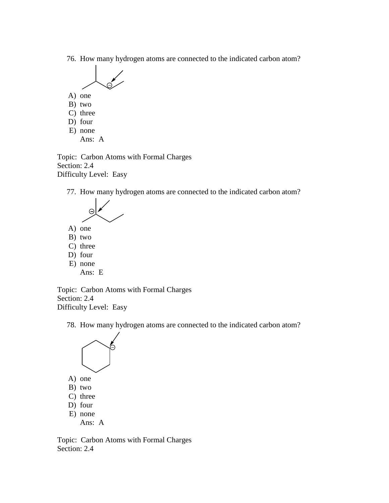76. How many hydrogen atoms are connected to the indicated carbon atom?



- A) one
- B) two
- C) three
- D) four
- E) none Ans: A

Topic: Carbon Atoms with Formal Charges Section: 2.4 Difficulty Level: Easy

77. How many hydrogen atoms are connected to the indicated carbon atom?



- A) one
- B) two
- C) three
- D) four
- E) none Ans: E

Topic: Carbon Atoms with Formal Charges Section: 2.4 Difficulty Level: Easy

78. How many hydrogen atoms are connected to the indicated carbon atom?



- A) one
- B) two
- C) three
- D) four
- E) none Ans: A

Topic: Carbon Atoms with Formal Charges Section: 2.4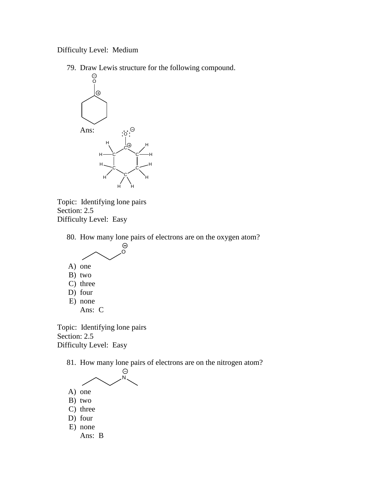Difficulty Level: Medium

79. Draw Lewis structure for the following compound.





80. How many lone pairs of electrons are on the oxygen atom?



Topic: Identifying lone pairs Section: 2.5 Difficulty Level: Easy

81. How many lone pairs of electrons are on the nitrogen atom?



- A) one B) two
- C) three
- D) four
- E) none
	- Ans: B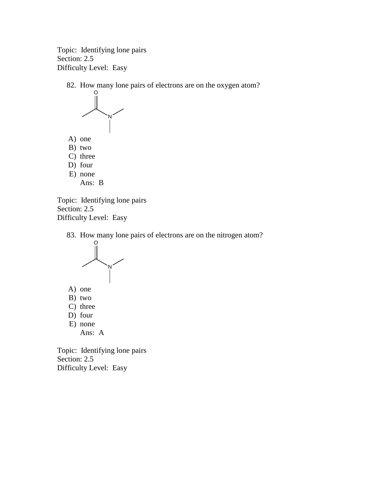Topic: Identifying lone pairs Section: 2.5 Difficulty Level: Easy

82. How many lone pairs of electrons are on the oxygen atom?



Topic: Identifying lone pairs Section: 2.5 Difficulty Level: Easy

83. How many lone pairs of electrons are on the nitrogen atom?



- A) one
- B) two
- C) three
- D) four
- E) none Ans: A

Topic: Identifying lone pairs Section: 2.5 Difficulty Level: Easy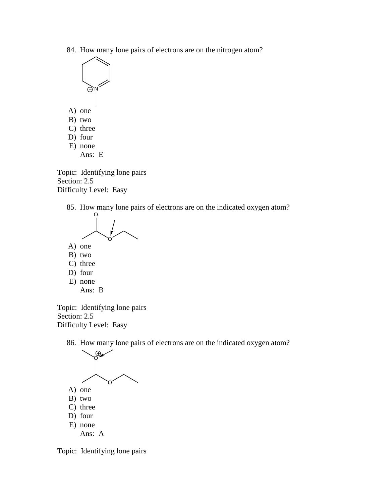84. How many lone pairs of electrons are on the nitrogen atom?



- D) four
- E) none
	- Ans: E

Topic: Identifying lone pairs Section: 2.5 Difficulty Level: Easy

85. How many lone pairs of electrons are on the indicated oxygen atom?



- A) one
- B) two
- C) three
- D) four
- E) none Ans: B

Topic: Identifying lone pairs Section: 2.5 Difficulty Level: Easy

86. How many lone pairs of electrons are on the indicated oxygen atom?



Topic: Identifying lone pairs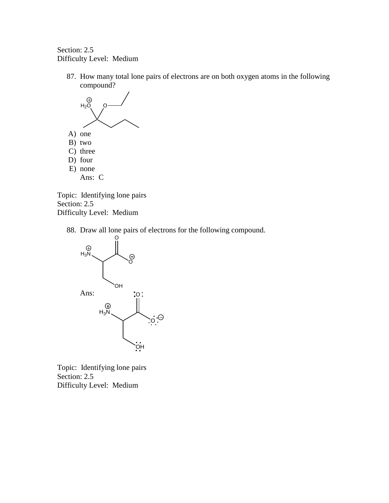Section: 2.5 Difficulty Level: Medium

87. How many total lone pairs of electrons are on both oxygen atoms in the following compound?



Topic: Identifying lone pairs Section: 2.5 Difficulty Level: Medium

88. Draw all lone pairs of electrons for the following compound.



Topic: Identifying lone pairs Section: 2.5 Difficulty Level: Medium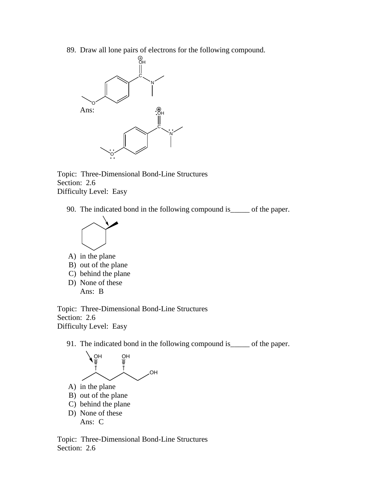89. Draw all lone pairs of electrons for the following compound.



Topic: Three-Dimensional Bond-Line Structures Section: 2.6 Difficulty Level: Easy

90. The indicated bond in the following compound is\_\_\_\_\_ of the paper.



- A) in the plane B) out of the plane
- C) behind the plane
- D) None of these Ans: B

Topic: Three-Dimensional Bond-Line Structures Section: 2.6 Difficulty Level: Easy

91. The indicated bond in the following compound is\_\_\_\_\_ of the paper.



Topic: Three-Dimensional Bond-Line Structures Section: 2.6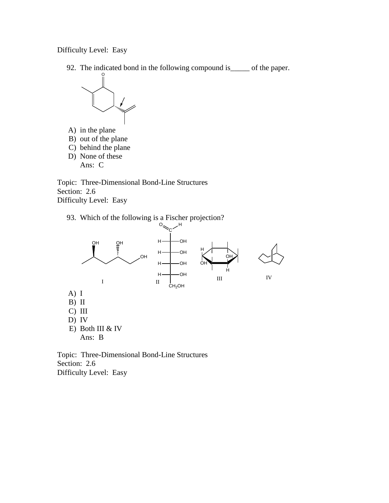Difficulty Level: Easy

92. The indicated bond in the following compound is\_\_\_\_\_ of the paper.



A) in the plane B) out of the plane C) behind the plane D) None of these

Ans: C

Topic: Three-Dimensional Bond-Line Structures Section: 2.6 Difficulty Level: Easy

93. Which of the following is a Fischer projection?



Topic: Three-Dimensional Bond-Line Structures Section: 2.6 Difficulty Level: Easy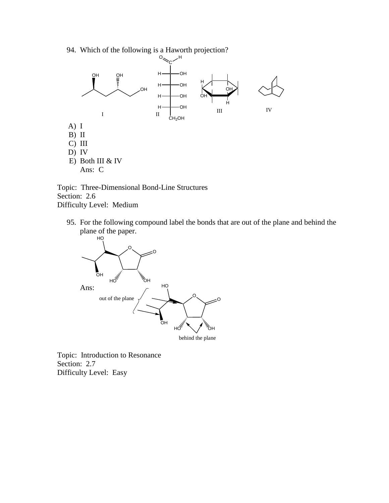94. Which of the following is a Haworth projection?



Topic: Three-Dimensional Bond-Line Structures Section: 2.6 Difficulty Level: Medium

95. For the following compound label the bonds that are out of the plane and behind the plane of the paper.



Topic: Introduction to Resonance Section: 2.7 Difficulty Level: Easy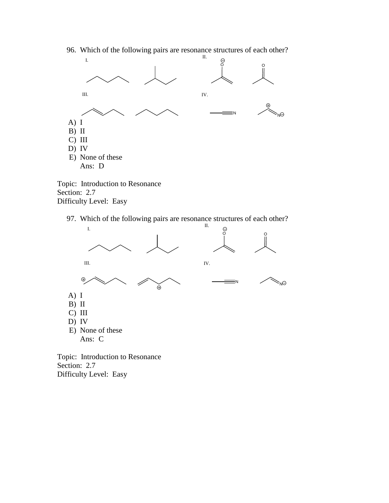

96. Which of the following pairs are resonance structures of each other?

Topic: Introduction to Resonance Section: 2.7 Difficulty Level: Easy

97. Which of the following pairs are resonance structures of each other?



Section: 2.7 Difficulty Level: Easy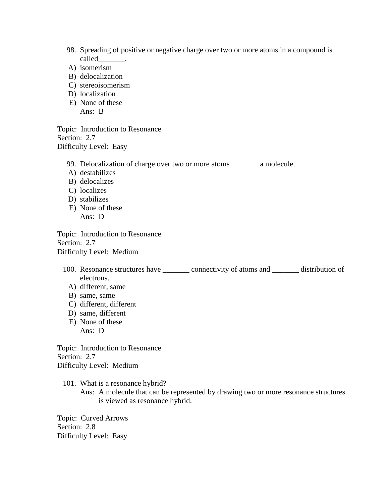- 98. Spreading of positive or negative charge over two or more atoms in a compound is called\_\_\_\_\_\_\_.
- A) isomerism
- B) delocalization
- C) stereoisomerism
- D) localization
- E) None of these Ans: B

Topic: Introduction to Resonance Section: 2.7 Difficulty Level: Easy

99. Delocalization of charge over two or more atoms \_\_\_\_\_\_\_ a molecule.

- A) destabilizes
- B) delocalizes
- C) localizes
- D) stabilizes
- E) None of these Ans: D

Topic: Introduction to Resonance Section: 2.7 Difficulty Level: Medium

- 100. Resonance structures have \_\_\_\_\_\_\_ connectivity of atoms and \_\_\_\_\_\_\_ distribution of electrons.
	- A) different, same
	- B) same, same
	- C) different, different
	- D) same, different E) None of these Ans: D

Topic: Introduction to Resonance Section: 2.7 Difficulty Level: Medium

101. What is a resonance hybrid? Ans: A molecule that can be represented by drawing two or more resonance structures is viewed as resonance hybrid.

Topic: Curved Arrows Section: 2.8 Difficulty Level: Easy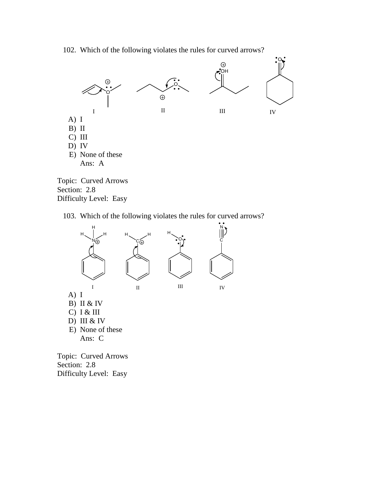102. Which of the following violates the rules for curved arrows?



Difficulty Level: Easy

103. Which of the following violates the rules for curved arrows?



Topic: Curved Arrows Section: 2.8 Difficulty Level: Easy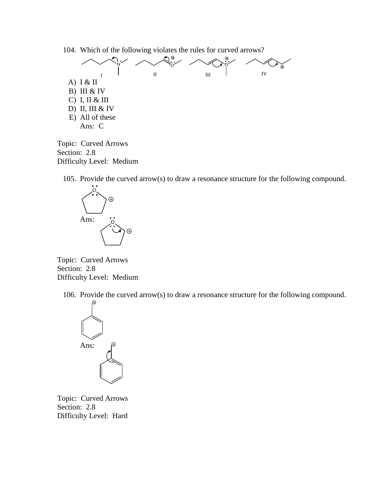104. Which of the following violates the rules for curved arrows?



Topic: Curved Arrows Section: 2.8 Difficulty Level: Medium

105. Provide the curved arrow(s) to draw a resonance structure for the following compound.



Topic: Curved Arrows Section: 2.8 Difficulty Level: Medium

106. Provide the curved arrow(s) to draw a resonance structure for the following compound.



Topic: Curved Arrows Section: 2.8 Difficulty Level: Hard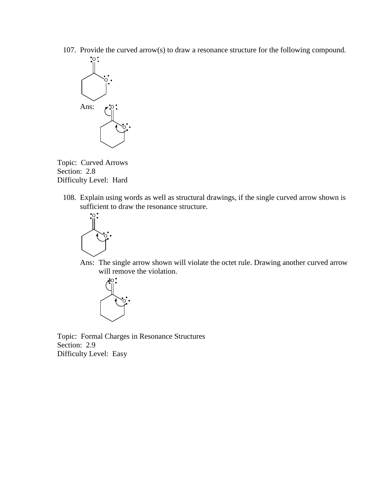107. Provide the curved arrow(s) to draw a resonance structure for the following compound.



Topic: Curved Arrows Section: 2.8 Difficulty Level: Hard

108. Explain using words as well as structural drawings, if the single curved arrow shown is sufficient to draw the resonance structure.



Ans: The single arrow shown will violate the octet rule. Drawing another curved arrow will remove the violation.



Topic: Formal Charges in Resonance Structures Section: 2.9 Difficulty Level: Easy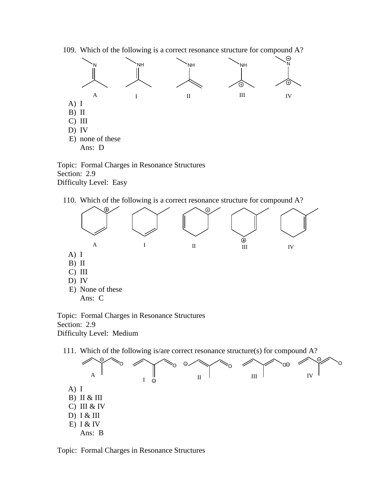109. Which of the following is a correct resonance structure for compound A?



Topic: Formal Charges in Resonance Structures Section: 2.9 Difficulty Level: Easy

110. Which of the following is a correct resonance structure for compound A?



Topic: Formal Charges in Resonance Structures Section: 2.9 Difficulty Level: Medium



Topic: Formal Charges in Resonance Structures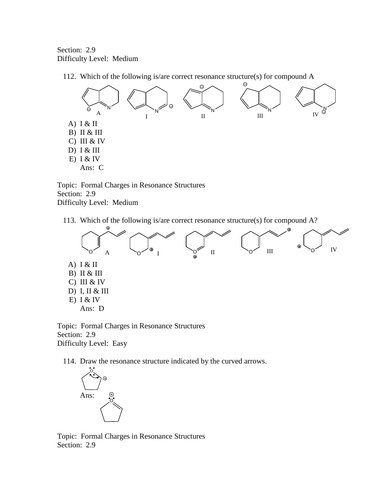Section: 2.9 Difficulty Level: Medium

112. Which of the following is/are correct resonance structure(s) for compound A



Topic: Formal Charges in Resonance Structures Section: 2.9 Difficulty Level: Medium

113. Which of the following is/are correct resonance structure(s) for compound A?



Topic: Formal Charges in Resonance Structures Section: 2.9 Difficulty Level: Easy

114. Draw the resonance structure indicated by the curved arrows.



Topic: Formal Charges in Resonance Structures Section: 2.9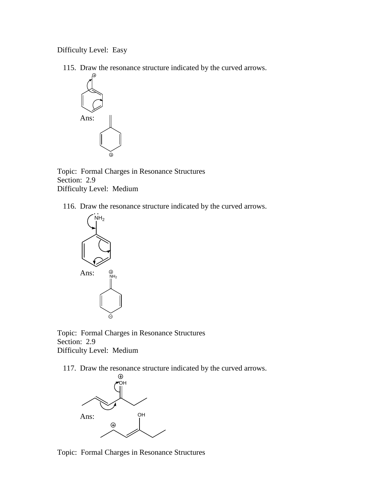Difficulty Level: Easy

115. Draw the resonance structure indicated by the curved arrows.



Topic: Formal Charges in Resonance Structures Section: 2.9 Difficulty Level: Medium

116. Draw the resonance structure indicated by the curved arrows.



Topic: Formal Charges in Resonance Structures Section: 2.9 Difficulty Level: Medium

117. Draw the resonance structure indicated by the curved arrows.



Topic: Formal Charges in Resonance Structures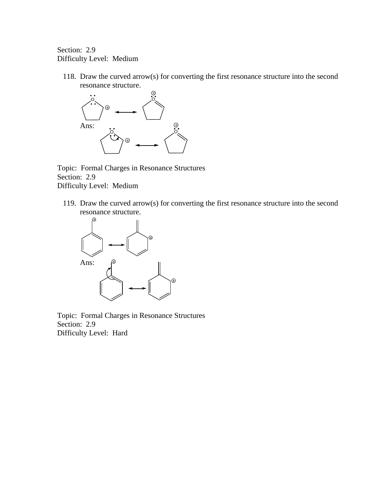## Section: 2.9 Difficulty Level: Medium

118. Draw the curved arrow(s) for converting the first resonance structure into the second resonance structure.



Topic: Formal Charges in Resonance Structures Section: 2.9 Difficulty Level: Medium

119. Draw the curved arrow(s) for converting the first resonance structure into the second resonance structure.



Topic: Formal Charges in Resonance Structures Section: 2.9 Difficulty Level: Hard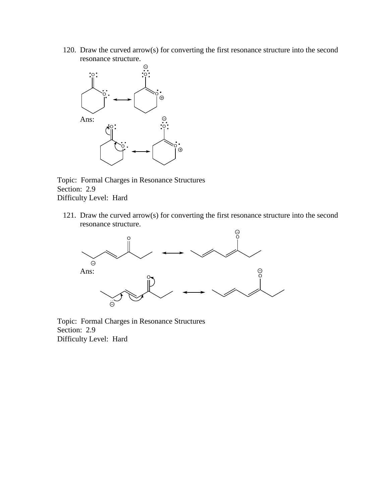120. Draw the curved arrow(s) for converting the first resonance structure into the second resonance structure.



Topic: Formal Charges in Resonance Structures Section: 2.9 Difficulty Level: Hard

121. Draw the curved arrow(s) for converting the first resonance structure into the second resonance structure.



Topic: Formal Charges in Resonance Structures Section: 2.9 Difficulty Level: Hard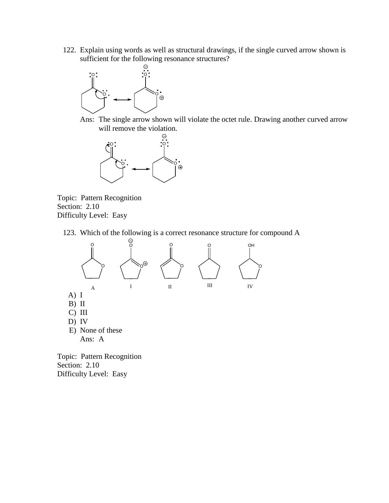122. Explain using words as well as structural drawings, if the single curved arrow shown is sufficient for the following resonance structures?



Ans: The single arrow shown will violate the octet rule. Drawing another curved arrow will remove the violation.



Topic: Pattern Recognition Section: 2.10 Difficulty Level: Easy

123. Which of the following is a correct resonance structure for compound A



Section: 2.10 Difficulty Level: Easy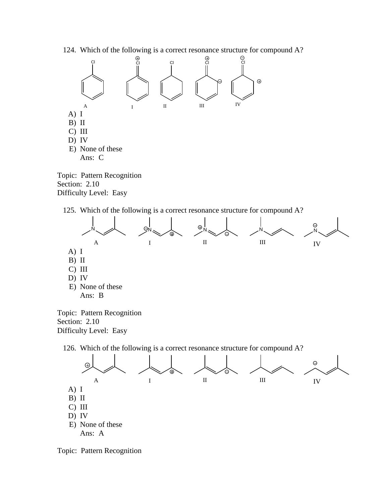124. Which of the following is a correct resonance structure for compound A?



Section: 2.10 Difficulty Level: Easy

125. Which of the following is a correct resonance structure for compound A?



Topic: Pattern Recognition Section: 2.10 Difficulty Level: Easy

126. Which of the following is a correct resonance structure for compound A?



Topic: Pattern Recognition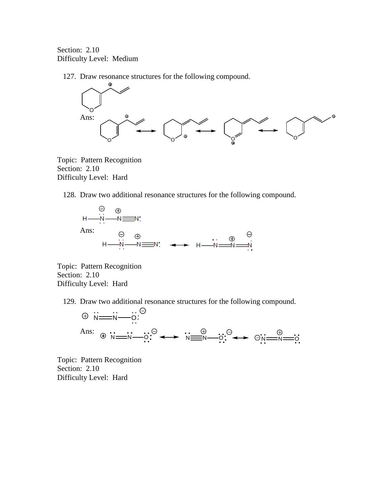Section: 2.10 Difficulty Level: Medium

127. Draw resonance structures for the following compound.



Topic: Pattern Recognition Section: 2.10 Difficulty Level: Hard

128. Draw two additional resonance structures for the following compound.



Topic: Pattern Recognition Section: 2.10 Difficulty Level: Hard

129. Draw two additional resonance structures for the following compound.



Topic: Pattern Recognition Section: 2.10 Difficulty Level: Hard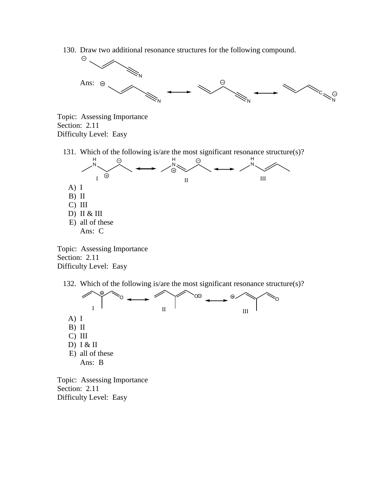130. Draw two additional resonance structures for the following compound.



Topic: Assessing Importance Section: 2.11 Difficulty Level: Easy

131. Which of the following is/are the most significant resonance structure(s)?



Topic: Assessing Importance Section: 2.11 Difficulty Level: Easy

132. Which of the following is/are the most significant resonance structure(s)?



Topic: Assessing Importance Section: 2.11 Difficulty Level: Easy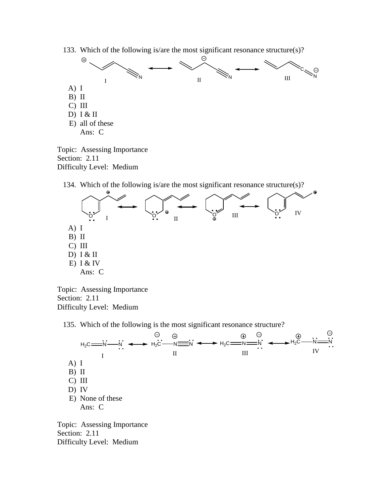133. Which of the following is/are the most significant resonance structure(s)?



Topic: Assessing Importance Section: 2.11 Difficulty Level: Medium

134. Which of the following is/are the most significant resonance structure(s)?



Topic: Assessing Importance Section: 2.11 Difficulty Level: Medium

135. Which of the following is the most significant resonance structure?



Section: 2.11 Difficulty Level: Medium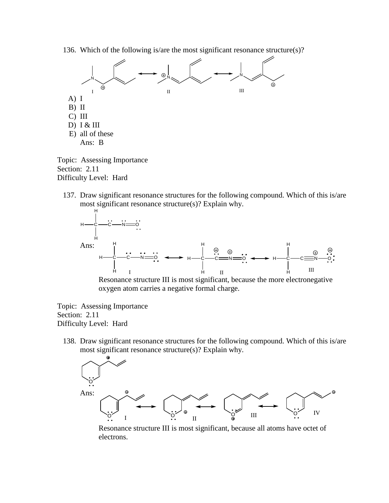136. Which of the following is/are the most significant resonance structure(s)?



Topic: Assessing Importance Section: 2.11 Difficulty Level: Hard

137. Draw significant resonance structures for the following compound. Which of this is/are most significant resonance structure(s)? Explain why.



Resonance structure III is most significant, because the more electronegative oxygen atom carries a negative formal charge.

Topic: Assessing Importance Section: 2.11 Difficulty Level: Hard

138. Draw significant resonance structures for the following compound. Which of this is/are most significant resonance structure(s)? Explain why.



Resonance structure III is most significant, because all atoms have octet of electrons.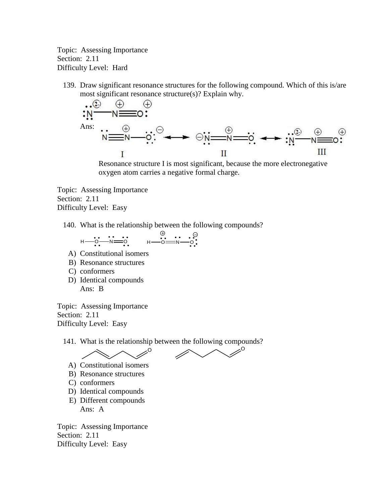Topic: Assessing Importance Section: 2.11 Difficulty Level: Hard

139. Draw significant resonance structures for the following compound. Which of this is/are most significant resonance structure(s)? Explain why.

$$
\begin{array}{ccc}\n\cdots & \oplus & \oplus & \oplus & \oplus & \\
\vdots & \vdots & \vdots & \oplus & \oplus & \\
\uparrow & & \uparrow & & \oplus & \\
\end{array}
$$

Resonance structure I is most significant, because the more electronegative oxygen atom carries a negative formal charge.

Topic: Assessing Importance Section: 2.11 Difficulty Level: Easy

140. What is the relationship between the following compounds?

$$
\begin{array}{cccc}\n\vdots & \cdots & \cdots & \cdots & \cdots \\
\vdots & \ddots & \ddots & \cdots & \cdots & \cdots \\
\vdots & \ddots & \ddots & \ddots & \cdots & \cdots \\
\vdots & \ddots & \ddots & \ddots & \ddots & \cdots \\
\end{array}
$$

- A) Constitutional isomers
- B) Resonance structures
- C) conformers
- D) Identical compounds Ans: B

Topic: Assessing Importance Section: 2.11 Difficulty Level: Easy

141. What is the relationship between the following compounds?  $\curvearrowright \curvearrowright \curvearrowright \curvearrowright$ 

$$
\bigwedge\diagdown\diagup^{\circ} \quad \text{if}
$$

- A) Constitutional isomers
- B) Resonance structures
- C) conformers
- D) Identical compounds
- E) Different compounds Ans: A

Topic: Assessing Importance Section: 2.11 Difficulty Level: Easy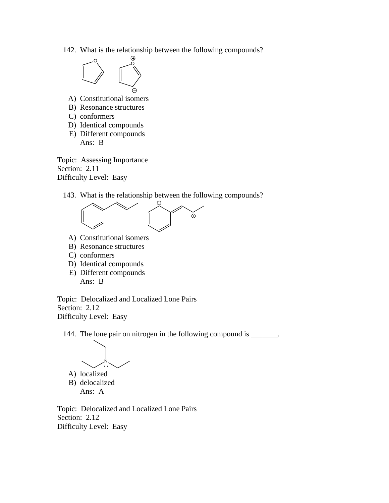142. What is the relationship between the following compounds?



- A) Constitutional isomers
- B) Resonance structures
- C) conformers
- D) Identical compounds
- E) Different compounds
	- Ans: B

Topic: Assessing Importance Section: 2.11 Difficulty Level: Easy

143. What is the relationship between the following compounds?



- A) Constitutional isomers
- B) Resonance structures
- C) conformers
- D) Identical compounds
- E) Different compounds Ans: B

Topic: Delocalized and Localized Lone Pairs Section: 2.12 Difficulty Level: Easy

144. The lone pair on nitrogen in the following compound is \_\_\_\_\_\_\_.



B) delocalized Ans: A

Topic: Delocalized and Localized Lone Pairs Section: 2.12 Difficulty Level: Easy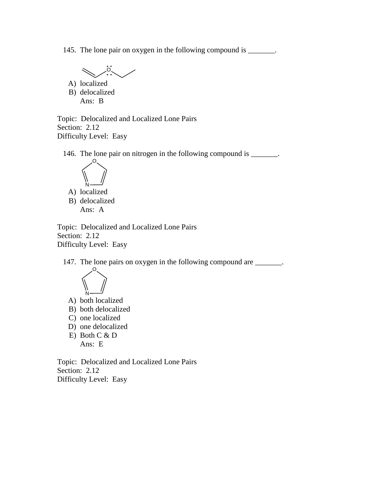145. The lone pair on oxygen in the following compound is \_\_\_\_\_\_\_.

 $\rm \ddot{o}$  . A) localized

B) delocalized Ans: B

Topic: Delocalized and Localized Lone Pairs Section: 2.12 Difficulty Level: Easy

146. The lone pair on nitrogen in the following compound is \_\_\_\_\_\_\_.



A) localized B) delocalized Ans: A

Topic: Delocalized and Localized Lone Pairs Section: 2.12 Difficulty Level: Easy

147. The lone pairs on oxygen in the following compound are \_\_\_\_\_\_\_.



- A) both localized
- B) both delocalized
- C) one localized
- D) one delocalized
- E) Both C & D Ans: E

Topic: Delocalized and Localized Lone Pairs Section: 2.12 Difficulty Level: Easy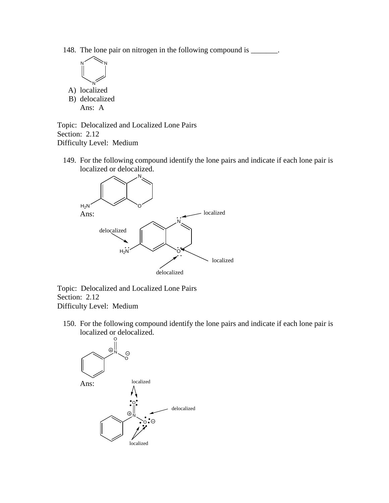148. The lone pair on nitrogen in the following compound is \_\_\_\_\_\_\_.



B) delocalized Ans: A

Topic: Delocalized and Localized Lone Pairs Section: 2.12 Difficulty Level: Medium

149. For the following compound identify the lone pairs and indicate if each lone pair is localized or delocalized.



Topic: Delocalized and Localized Lone Pairs Section: 2.12 Difficulty Level: Medium

150. For the following compound identify the lone pairs and indicate if each lone pair is localized or delocalized.

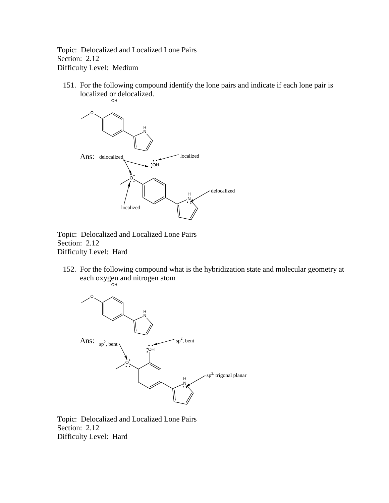Topic: Delocalized and Localized Lone Pairs Section: 2.12 Difficulty Level: Medium

151. For the following compound identify the lone pairs and indicate if each lone pair is localized or delocalized.



Topic: Delocalized and Localized Lone Pairs Section: 2.12 Difficulty Level: Hard

152. For the following compound what is the hybridization state and molecular geometry at each oxygen and nitrogen atom



Topic: Delocalized and Localized Lone Pairs Section: 2.12 Difficulty Level: Hard